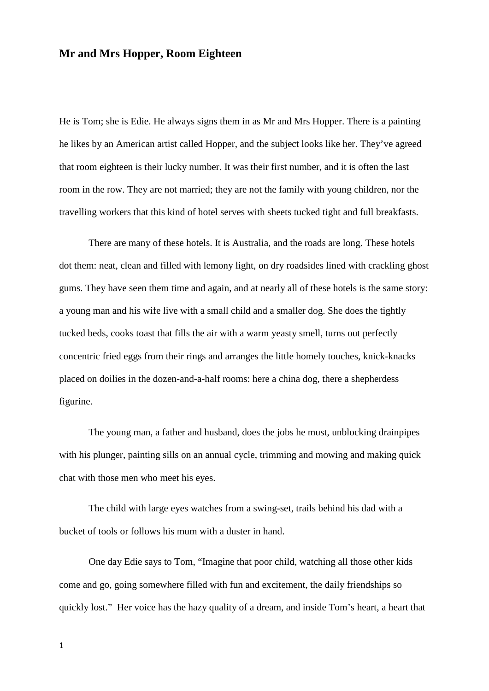## **Mr and Mrs Hopper, Room Eighteen**

He is Tom; she is Edie. He always signs them in as Mr and Mrs Hopper. There is a painting he likes by an American artist called Hopper, and the subject looks like her. They've agreed that room eighteen is their lucky number. It was their first number, and it is often the last room in the row. They are not married; they are not the family with young children, nor the travelling workers that this kind of hotel serves with sheets tucked tight and full breakfasts.

There are many of these hotels. It is Australia, and the roads are long. These hotels dot them: neat, clean and filled with lemony light, on dry roadsides lined with crackling ghost gums. They have seen them time and again, and at nearly all of these hotels is the same story: a young man and his wife live with a small child and a smaller dog. She does the tightly tucked beds, cooks toast that fills the air with a warm yeasty smell, turns out perfectly concentric fried eggs from their rings and arranges the little homely touches, knick-knacks placed on doilies in the dozen-and-a-half rooms: here a china dog, there a shepherdess figurine.

The young man, a father and husband, does the jobs he must, unblocking drainpipes with his plunger, painting sills on an annual cycle, trimming and mowing and making quick chat with those men who meet his eyes.

The child with large eyes watches from a swing-set, trails behind his dad with a bucket of tools or follows his mum with a duster in hand.

One day Edie says to Tom, "Imagine that poor child, watching all those other kids come and go, going somewhere filled with fun and excitement, the daily friendships so quickly lost." Her voice has the hazy quality of a dream, and inside Tom's heart, a heart that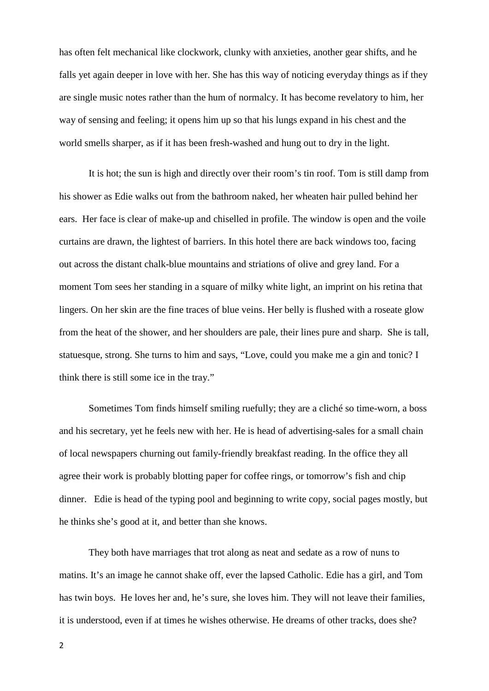has often felt mechanical like clockwork, clunky with anxieties, another gear shifts, and he falls yet again deeper in love with her. She has this way of noticing everyday things as if they are single music notes rather than the hum of normalcy. It has become revelatory to him, her way of sensing and feeling; it opens him up so that his lungs expand in his chest and the world smells sharper, as if it has been fresh-washed and hung out to dry in the light.

It is hot; the sun is high and directly over their room's tin roof. Tom is still damp from his shower as Edie walks out from the bathroom naked, her wheaten hair pulled behind her ears. Her face is clear of make-up and chiselled in profile. The window is open and the voile curtains are drawn, the lightest of barriers. In this hotel there are back windows too, facing out across the distant chalk-blue mountains and striations of olive and grey land. For a moment Tom sees her standing in a square of milky white light, an imprint on his retina that lingers. On her skin are the fine traces of blue veins. Her belly is flushed with a roseate glow from the heat of the shower, and her shoulders are pale, their lines pure and sharp. She is tall, statuesque, strong. She turns to him and says, "Love, could you make me a gin and tonic? I think there is still some ice in the tray."

Sometimes Tom finds himself smiling ruefully; they are a cliché so time-worn, a boss and his secretary, yet he feels new with her. He is head of advertising-sales for a small chain of local newspapers churning out family-friendly breakfast reading. In the office they all agree their work is probably blotting paper for coffee rings, or tomorrow's fish and chip dinner. Edie is head of the typing pool and beginning to write copy, social pages mostly, but he thinks she's good at it, and better than she knows.

They both have marriages that trot along as neat and sedate as a row of nuns to matins. It's an image he cannot shake off, ever the lapsed Catholic. Edie has a girl, and Tom has twin boys. He loves her and, he's sure, she loves him. They will not leave their families, it is understood, even if at times he wishes otherwise. He dreams of other tracks, does she?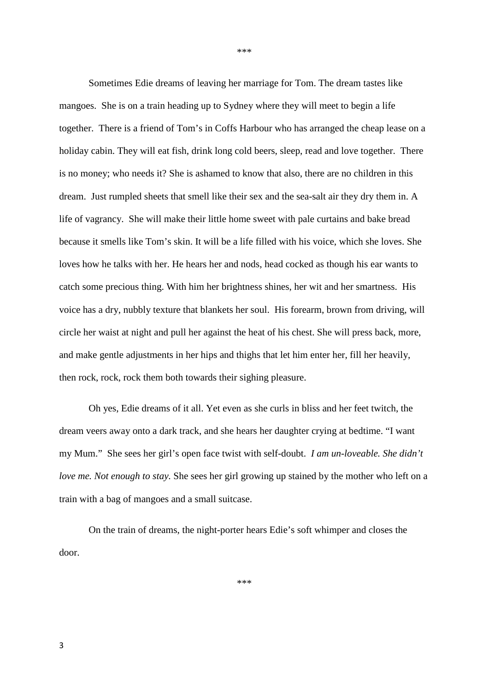Sometimes Edie dreams of leaving her marriage for Tom. The dream tastes like mangoes. She is on a train heading up to Sydney where they will meet to begin a life together. There is a friend of Tom's in Coffs Harbour who has arranged the cheap lease on a holiday cabin. They will eat fish, drink long cold beers, sleep, read and love together. There is no money; who needs it? She is ashamed to know that also, there are no children in this dream. Just rumpled sheets that smell like their sex and the sea-salt air they dry them in. A life of vagrancy. She will make their little home sweet with pale curtains and bake bread because it smells like Tom's skin. It will be a life filled with his voice, which she loves. She loves how he talks with her. He hears her and nods, head cocked as though his ear wants to catch some precious thing. With him her brightness shines, her wit and her smartness. His voice has a dry, nubbly texture that blankets her soul. His forearm, brown from driving, will circle her waist at night and pull her against the heat of his chest. She will press back, more, and make gentle adjustments in her hips and thighs that let him enter her, fill her heavily, then rock, rock, rock them both towards their sighing pleasure.

\*\*\*

Oh yes, Edie dreams of it all. Yet even as she curls in bliss and her feet twitch, the dream veers away onto a dark track, and she hears her daughter crying at bedtime. "I want my Mum." She sees her girl's open face twist with self-doubt. *I am un-loveable. She didn't love me. Not enough to stay.* She sees her girl growing up stained by the mother who left on a train with a bag of mangoes and a small suitcase.

On the train of dreams, the night-porter hears Edie's soft whimper and closes the door.

\*\*\*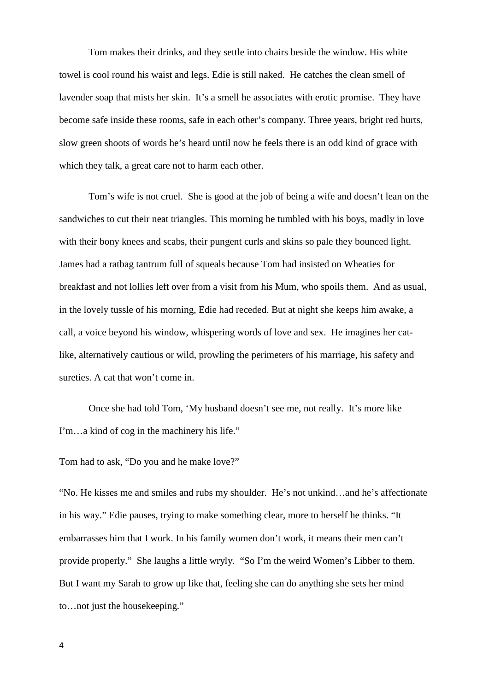Tom makes their drinks, and they settle into chairs beside the window. His white towel is cool round his waist and legs. Edie is still naked. He catches the clean smell of lavender soap that mists her skin. It's a smell he associates with erotic promise. They have become safe inside these rooms, safe in each other's company. Three years, bright red hurts, slow green shoots of words he's heard until now he feels there is an odd kind of grace with which they talk, a great care not to harm each other.

Tom's wife is not cruel. She is good at the job of being a wife and doesn't lean on the sandwiches to cut their neat triangles. This morning he tumbled with his boys, madly in love with their bony knees and scabs, their pungent curls and skins so pale they bounced light. James had a ratbag tantrum full of squeals because Tom had insisted on Wheaties for breakfast and not lollies left over from a visit from his Mum, who spoils them. And as usual, in the lovely tussle of his morning, Edie had receded. But at night she keeps him awake, a call, a voice beyond his window, whispering words of love and sex. He imagines her catlike, alternatively cautious or wild, prowling the perimeters of his marriage, his safety and sureties. A cat that won't come in.

Once she had told Tom, 'My husband doesn't see me, not really. It's more like I'm…a kind of cog in the machinery his life."

Tom had to ask, "Do you and he make love?"

"No. He kisses me and smiles and rubs my shoulder. He's not unkind…and he's affectionate in his way." Edie pauses, trying to make something clear, more to herself he thinks. "It embarrasses him that I work. In his family women don't work, it means their men can't provide properly." She laughs a little wryly. "So I'm the weird Women's Libber to them. But I want my Sarah to grow up like that, feeling she can do anything she sets her mind to…not just the housekeeping."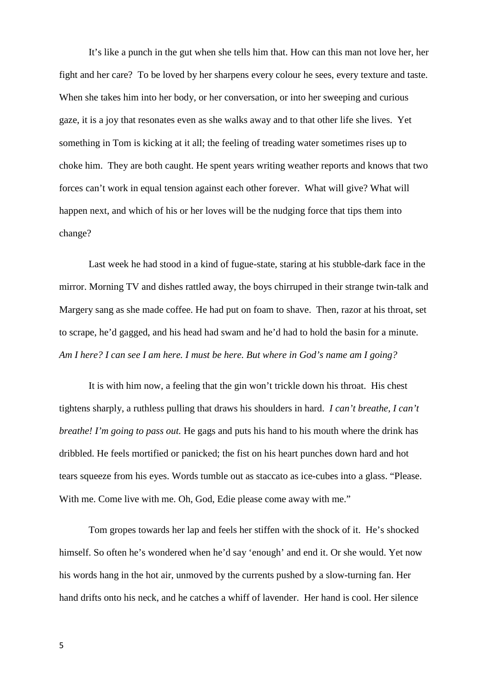It's like a punch in the gut when she tells him that. How can this man not love her, her fight and her care? To be loved by her sharpens every colour he sees, every texture and taste. When she takes him into her body, or her conversation, or into her sweeping and curious gaze, it is a joy that resonates even as she walks away and to that other life she lives. Yet something in Tom is kicking at it all; the feeling of treading water sometimes rises up to choke him. They are both caught. He spent years writing weather reports and knows that two forces can't work in equal tension against each other forever. What will give? What will happen next, and which of his or her loves will be the nudging force that tips them into change?

Last week he had stood in a kind of fugue-state, staring at his stubble-dark face in the mirror. Morning TV and dishes rattled away, the boys chirruped in their strange twin-talk and Margery sang as she made coffee. He had put on foam to shave. Then, razor at his throat, set to scrape, he'd gagged, and his head had swam and he'd had to hold the basin for a minute. *Am I here? I can see I am here. I must be here. But where in God's name am I going?*

It is with him now, a feeling that the gin won't trickle down his throat. His chest tightens sharply, a ruthless pulling that draws his shoulders in hard. *I can't breathe, I can't breathe! I'm going to pass out.* He gags and puts his hand to his mouth where the drink has dribbled. He feels mortified or panicked; the fist on his heart punches down hard and hot tears squeeze from his eyes. Words tumble out as staccato as ice-cubes into a glass. "Please. With me. Come live with me. Oh, God, Edie please come away with me."

Tom gropes towards her lap and feels her stiffen with the shock of it. He's shocked himself. So often he's wondered when he'd say 'enough' and end it. Or she would. Yet now his words hang in the hot air, unmoved by the currents pushed by a slow-turning fan. Her hand drifts onto his neck, and he catches a whiff of lavender. Her hand is cool. Her silence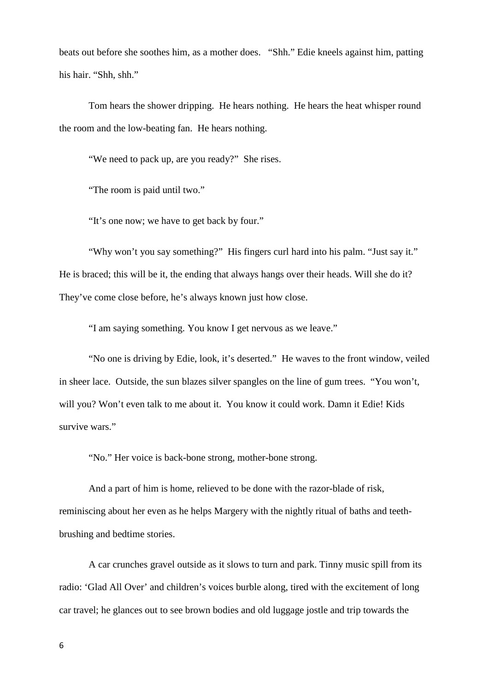beats out before she soothes him, as a mother does. "Shh." Edie kneels against him, patting his hair. "Shh, shh."

Tom hears the shower dripping. He hears nothing. He hears the heat whisper round the room and the low-beating fan. He hears nothing.

"We need to pack up, are you ready?" She rises.

"The room is paid until two."

"It's one now; we have to get back by four."

"Why won't you say something?" His fingers curl hard into his palm. "Just say it." He is braced; this will be it, the ending that always hangs over their heads. Will she do it? They've come close before, he's always known just how close.

"I am saying something. You know I get nervous as we leave."

"No one is driving by Edie, look, it's deserted." He waves to the front window, veiled in sheer lace. Outside, the sun blazes silver spangles on the line of gum trees. "You won't, will you? Won't even talk to me about it. You know it could work. Damn it Edie! Kids survive wars."

"No." Her voice is back-bone strong, mother-bone strong.

And a part of him is home, relieved to be done with the razor-blade of risk, reminiscing about her even as he helps Margery with the nightly ritual of baths and teethbrushing and bedtime stories.

A car crunches gravel outside as it slows to turn and park. Tinny music spill from its radio: 'Glad All Over' and children's voices burble along, tired with the excitement of long car travel; he glances out to see brown bodies and old luggage jostle and trip towards the